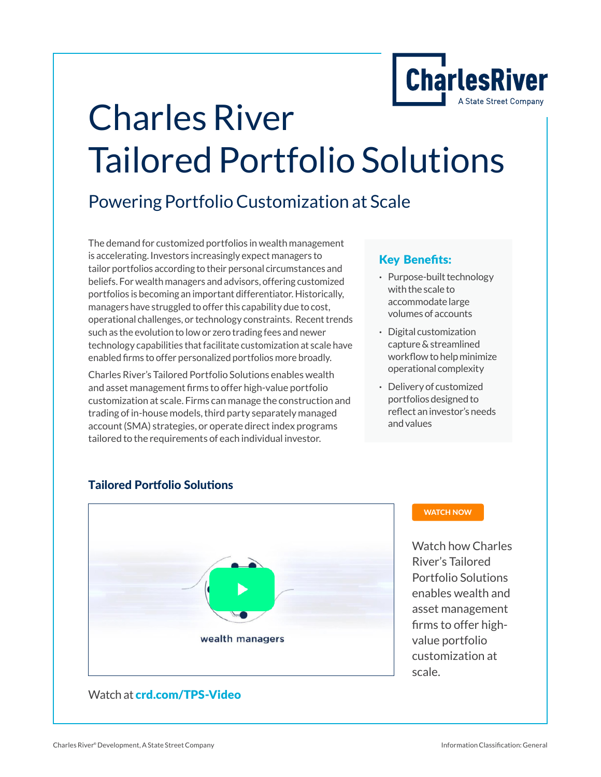

# [Charles River](https://www.crd.com/TPS)  [Tailored Portfolio Solutions](https://www.crd.com/TPS)

### Powering Portfolio Customization at Scale

The demand for customized portfolios in wealth management is accelerating. Investors increasingly expect managers to tailor portfolios according to their personal circumstances and beliefs. For wealth managers and advisors, offering customized portfolios is becoming an important differentiator. Historically, managers have struggled to offer this capability due to cost, operational challenges, or technology constraints. Recent trends such as the evolution to low or zero trading fees and newer technology capabilities that facilitate customization at scale have enabled firms to offer personalized portfolios more broadly.

Charles River's Tailored Portfolio Solutions enables wealth and asset management firms to offer high-value portfolio customization at scale. Firms can manage the construction and trading of in-house models, third party separately managed account (SMA) strategies, or operate direct index programs tailored to the requirements of each individual investor.

#### Key Benefits:

- **·** Purpose-built technology with the scale to accommodate large volumes of accounts
- **·** Digital customization capture & streamlined workflow to help minimize operational complexity
- **·** Delivery of customized portfolios designed to reflect an investor's needs and values



#### Tailored Portfolio Solutions

#### [WATCH NOW](https://www.crd.com/news/video-library/tailored-portfolio-solutions)

Watch how Charles River's Tailored Portfolio Solutions enables wealth and asset management firms to offer highvalue portfolio customization at scale.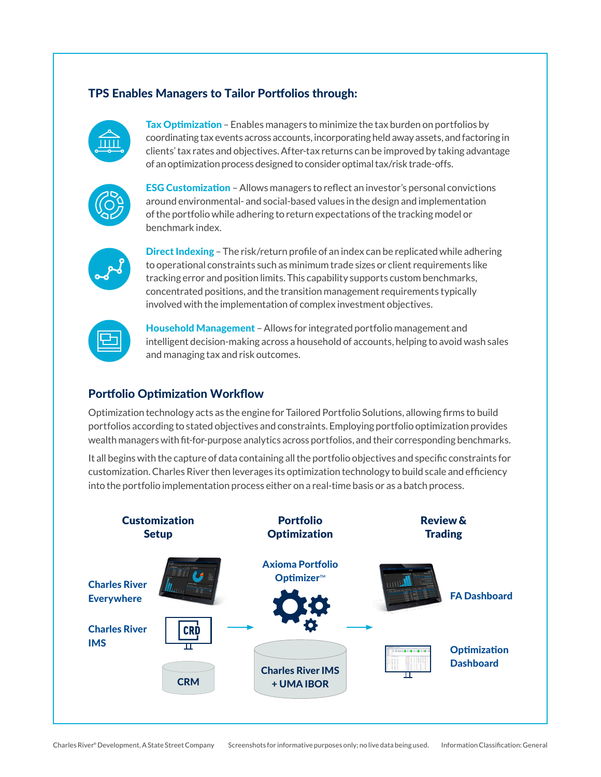#### TPS Enables Managers to Tailor Portfolios through:



Tax Optimization – Enables managers to minimize the tax burden on portfolios by coordinating tax events across accounts, incorporating held away assets, and factoring in clients' tax rates and objectives. After-tax returns can be improved by taking advantage of an optimization process designed to consider optimal tax/risk trade-offs.



ESG Customization – Allows managers to reflect an investor's personal convictions around environmental- and social-based values in the design and implementation of the portfolio while adhering to return expectations of the tracking model or benchmark index.



Direct Indexing – The risk/return profile of an index can be replicated while adhering to operational constraints such as minimum trade sizes or client requirements like tracking error and position limits. This capability supports custom benchmarks, concentrated positions, and the transition management requirements typically involved with the implementation of complex investment objectives.

Household Management – Allows for integrated portfolio management and intelligent decision-making across a household of accounts, helping to avoid wash sales and managing tax and risk outcomes.

#### Portfolio Optimization Workflow

Optimization technology acts as the engine for Tailored Portfolio Solutions, allowing firms to build portfolios according to stated objectives and constraints. Employing portfolio optimization provides wealth managers with fit-for-purpose analytics across portfolios, and their corresponding benchmarks.

It all begins with the capture of data containing all the portfolio objectives and specific constraints for customization. Charles River then leverages its optimization technology to build scale and efficiency into the portfolio implementation process either on a real-time basis or as a batch process.